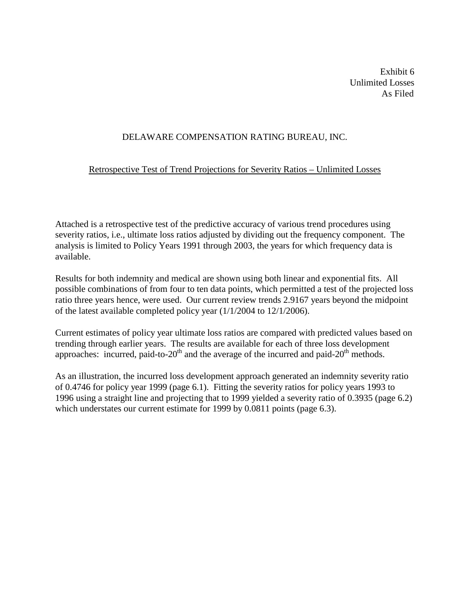Exhibit 6 Unlimited Losses As Filed

# DELAWARE COMPENSATION RATING BUREAU, INC.

## Retrospective Test of Trend Projections for Severity Ratios – Unlimited Losses

Attached is a retrospective test of the predictive accuracy of various trend procedures using severity ratios, i.e., ultimate loss ratios adjusted by dividing out the frequency component. The analysis is limited to Policy Years 1991 through 2003, the years for which frequency data is available.

Results for both indemnity and medical are shown using both linear and exponential fits. All possible combinations of from four to ten data points, which permitted a test of the projected loss ratio three years hence, were used. Our current review trends 2.9167 years beyond the midpoint of the latest available completed policy year (1/1/2004 to 12/1/2006).

Current estimates of policy year ultimate loss ratios are compared with predicted values based on trending through earlier years. The results are available for each of three loss development approaches: incurred, paid-to-20<sup>th</sup> and the average of the incurred and paid-20<sup>th</sup> methods.

As an illustration, the incurred loss development approach generated an indemnity severity ratio of 0.4746 for policy year 1999 (page 6.1). Fitting the severity ratios for policy years 1993 to 1996 using a straight line and projecting that to 1999 yielded a severity ratio of 0.3935 (page 6.2) which understates our current estimate for 1999 by 0.0811 points (page 6.3).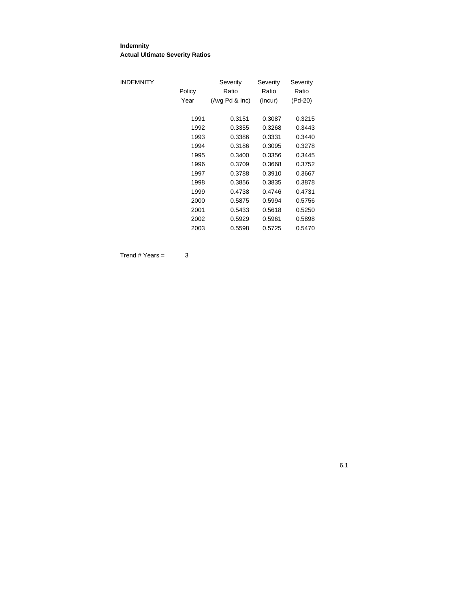#### **Indemnity Actual Ultimate Severity Ratios**

| INDEMNITY | Policy | Severity<br>Ratio | Severity<br>Ratio | Severity<br>Ratio |
|-----------|--------|-------------------|-------------------|-------------------|
|           | Year   | (Avg Pd & Inc)    | (Incur)           | (Pd-20)           |
|           | 1991   | 0.3151            | 0.3087            | 0.3215            |
|           | 1992   | 0.3355            | 0.3268            | 0.3443            |
|           | 1993   | 0.3386            | 0.3331            | 0.3440            |
|           | 1994   | 0.3186            | 0.3095            | 0.3278            |
|           | 1995   | 0.3400            | 0.3356            | 0.3445            |
|           | 1996   | 0.3709            | 0.3668            | 0.3752            |
|           | 1997   | 0.3788            | 0.3910            | 0.3667            |
|           | 1998   | 0.3856            | 0.3835            | 0.3878            |
|           | 1999   | 0.4738            | 0.4746            | 0.4731            |
|           | 2000   | 0.5875            | 0.5994            | 0.5756            |
|           | 2001   | 0.5433            | 0.5618            | 0.5250            |
|           | 2002   | 0.5929            | 0.5961            | 0.5898            |
|           | 2003   | 0.5598            | 0.5725            | 0.5470            |

 $Trend # Years =  $3$$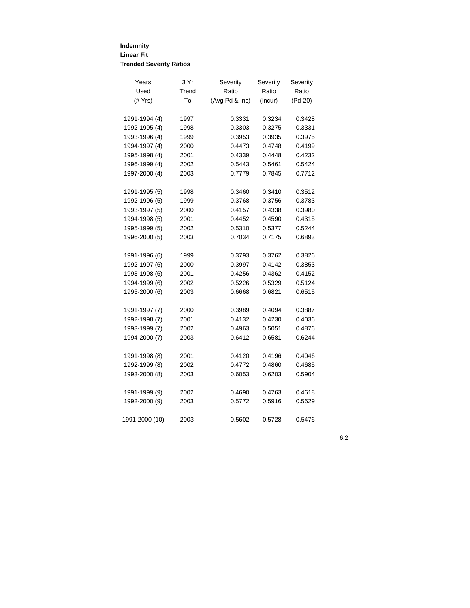#### **Indemnity Linear Fit Trended Severity Ratios**

| Years          | 3 Yr  | Severity       | Severity | Severity |
|----------------|-------|----------------|----------|----------|
| Used           | Trend | Ratio          | Ratio    | Ratio    |
| (# Yrs)        | To    | (Avg Pd & Inc) | (Incur)  | (Pd-20)  |
| 1991-1994 (4)  | 1997  | 0.3331         | 0.3234   | 0.3428   |
| 1992-1995 (4)  | 1998  | 0.3303         | 0.3275   | 0.3331   |
| 1993-1996 (4)  | 1999  | 0.3953         | 0.3935   | 0.3975   |
| 1994-1997 (4)  | 2000  | 0.4473         | 0.4748   | 0.4199   |
| 1995-1998 (4)  | 2001  | 0.4339         | 0.4448   | 0.4232   |
| 1996-1999 (4)  | 2002  | 0.5443         | 0.5461   | 0.5424   |
| 1997-2000 (4)  | 2003  | 0.7779         | 0.7845   | 0.7712   |
| 1991-1995 (5)  | 1998  | 0.3460         | 0.3410   | 0.3512   |
| 1992-1996 (5)  | 1999  | 0.3768         | 0.3756   | 0.3783   |
| 1993-1997 (5)  | 2000  | 0.4157         | 0.4338   | 0.3980   |
| 1994-1998 (5)  | 2001  | 0.4452         | 0.4590   | 0.4315   |
| 1995-1999 (5)  | 2002  | 0.5310         | 0.5377   | 0.5244   |
| 1996-2000 (5)  | 2003  | 0.7034         | 0.7175   | 0.6893   |
| 1991-1996 (6)  | 1999  | 0.3793         | 0.3762   | 0.3826   |
| 1992-1997 (6)  | 2000  | 0.3997         | 0.4142   | 0.3853   |
| 1993-1998 (6)  | 2001  | 0.4256         | 0.4362   | 0.4152   |
| 1994-1999 (6)  | 2002  | 0.5226         | 0.5329   | 0.5124   |
| 1995-2000 (6)  | 2003  | 0.6668         | 0.6821   | 0.6515   |
| 1991-1997 (7)  | 2000  | 0.3989         | 0.4094   | 0.3887   |
| 1992-1998 (7)  | 2001  | 0.4132         | 0.4230   | 0.4036   |
| 1993-1999 (7)  | 2002  | 0.4963         | 0.5051   | 0.4876   |
| 1994-2000 (7)  | 2003  | 0.6412         | 0.6581   | 0.6244   |
| 1991-1998 (8)  | 2001  | 0.4120         | 0.4196   | 0.4046   |
| 1992-1999 (8)  | 2002  | 0.4772         | 0.4860   | 0.4685   |
| 1993-2000 (8)  | 2003  | 0.6053         | 0.6203   | 0.5904   |
| 1991-1999 (9)  | 2002  | 0.4690         | 0.4763   | 0.4618   |
| 1992-2000 (9)  | 2003  | 0.5772         | 0.5916   | 0.5629   |
| 1991-2000 (10) | 2003  | 0.5602         | 0.5728   | 0.5476   |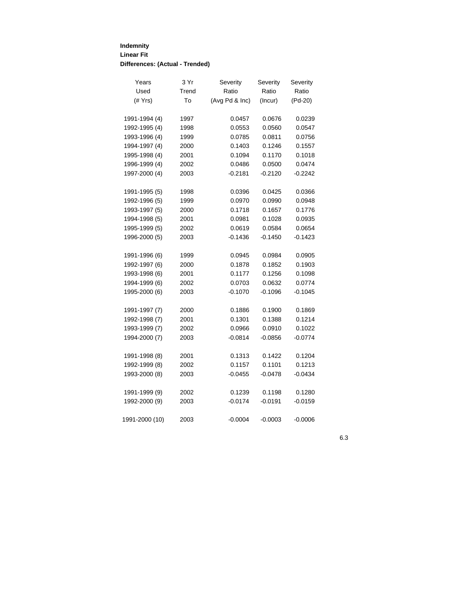## **Indemnity Linear Fit Differences: (Actual - Trended)**

| Years          | 3 Yr  | Severity       | Severity  | Severity  |
|----------------|-------|----------------|-----------|-----------|
| Used           | Trend | Ratio          | Ratio     | Ratio     |
| $($ $#$ Yrs)   | To    | (Avg Pd & Inc) | (Incur)   | $(Pd-20)$ |
| 1991-1994 (4)  | 1997  | 0.0457         | 0.0676    | 0.0239    |
| 1992-1995 (4)  | 1998  | 0.0553         | 0.0560    | 0.0547    |
| 1993-1996 (4)  | 1999  | 0.0785         | 0.0811    | 0.0756    |
| 1994-1997 (4)  | 2000  | 0.1403         | 0.1246    | 0.1557    |
| 1995-1998 (4)  | 2001  | 0.1094         | 0.1170    | 0.1018    |
| 1996-1999 (4)  | 2002  | 0.0486         | 0.0500    | 0.0474    |
| 1997-2000 (4)  | 2003  | $-0.2181$      | $-0.2120$ | $-0.2242$ |
| 1991-1995 (5)  | 1998  | 0.0396         | 0.0425    | 0.0366    |
| 1992-1996 (5)  | 1999  | 0.0970         | 0.0990    | 0.0948    |
| 1993-1997 (5)  | 2000  | 0.1718         | 0.1657    | 0.1776    |
| 1994-1998 (5)  | 2001  | 0.0981         | 0.1028    | 0.0935    |
| 1995-1999 (5)  | 2002  | 0.0619         | 0.0584    | 0.0654    |
| 1996-2000 (5)  | 2003  | $-0.1436$      | $-0.1450$ | $-0.1423$ |
| 1991-1996 (6)  | 1999  | 0.0945         | 0.0984    | 0.0905    |
| 1992-1997 (6)  | 2000  | 0.1878         | 0.1852    | 0.1903    |
| 1993-1998 (6)  | 2001  | 0.1177         | 0.1256    | 0.1098    |
| 1994-1999 (6)  | 2002  | 0.0703         | 0.0632    | 0.0774    |
| 1995-2000 (6)  | 2003  | $-0.1070$      | $-0.1096$ | $-0.1045$ |
| 1991-1997 (7)  | 2000  | 0.1886         | 0.1900    | 0.1869    |
| 1992-1998 (7)  | 2001  | 0.1301         | 0.1388    | 0.1214    |
| 1993-1999 (7)  | 2002  | 0.0966         | 0.0910    | 0.1022    |
| 1994-2000 (7)  | 2003  | $-0.0814$      | $-0.0856$ | $-0.0774$ |
| 1991-1998 (8)  | 2001  | 0.1313         | 0.1422    | 0.1204    |
| 1992-1999 (8)  | 2002  | 0.1157         | 0.1101    | 0.1213    |
| 1993-2000 (8)  | 2003  | $-0.0455$      | $-0.0478$ | $-0.0434$ |
| 1991-1999 (9)  | 2002  | 0.1239         | 0.1198    | 0.1280    |
| 1992-2000 (9)  | 2003  | $-0.0174$      | $-0.0191$ | $-0.0159$ |
| 1991-2000 (10) | 2003  | $-0.0004$      | $-0.0003$ | $-0.0006$ |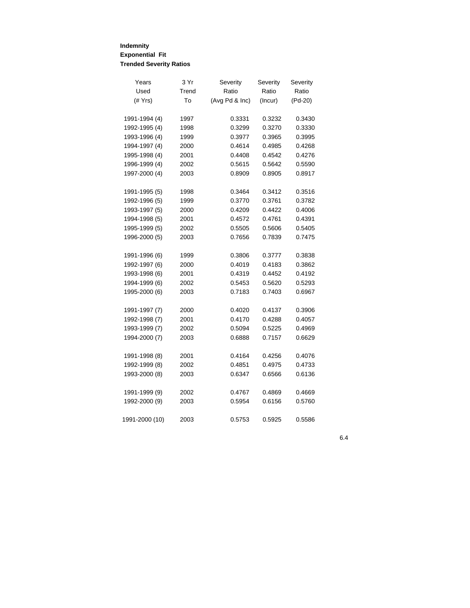## **Indemnity Exponential Fit Trended Severity Ratios**

| Years          | 3 Yr  | Severity       | Severity | Severity  |
|----------------|-------|----------------|----------|-----------|
| Used           | Trend | Ratio          | Ratio    | Ratio     |
| (# Yrs)        | To    | (Avg Pd & Inc) | (Incur)  | $(Pd-20)$ |
| 1991-1994 (4)  | 1997  | 0.3331         | 0.3232   | 0.3430    |
| 1992-1995 (4)  | 1998  | 0.3299         | 0.3270   | 0.3330    |
| 1993-1996 (4)  | 1999  | 0.3977         | 0.3965   | 0.3995    |
| 1994-1997 (4)  | 2000  | 0.4614         | 0.4985   | 0.4268    |
| 1995-1998 (4)  | 2001  | 0.4408         | 0.4542   | 0.4276    |
| 1996-1999 (4)  | 2002  | 0.5615         | 0.5642   | 0.5590    |
| 1997-2000 (4)  | 2003  | 0.8909         | 0.8905   | 0.8917    |
|                |       |                |          |           |
| 1991-1995 (5)  | 1998  | 0.3464         | 0.3412   | 0.3516    |
| 1992-1996 (5)  | 1999  | 0.3770         | 0.3761   | 0.3782    |
| 1993-1997 (5)  | 2000  | 0.4209         | 0.4422   | 0.4006    |
| 1994-1998 (5)  | 2001  | 0.4572         | 0.4761   | 0.4391    |
| 1995-1999 (5)  | 2002  | 0.5505         | 0.5606   | 0.5405    |
| 1996-2000 (5)  | 2003  | 0.7656         | 0.7839   | 0.7475    |
|                |       |                |          |           |
| 1991-1996 (6)  | 1999  | 0.3806         | 0.3777   | 0.3838    |
| 1992-1997 (6)  | 2000  | 0.4019         | 0.4183   | 0.3862    |
| 1993-1998 (6)  | 2001  | 0.4319         | 0.4452   | 0.4192    |
| 1994-1999 (6)  | 2002  | 0.5453         | 0.5620   | 0.5293    |
| 1995-2000 (6)  | 2003  | 0.7183         | 0.7403   | 0.6967    |
| 1991-1997 (7)  | 2000  | 0.4020         | 0.4137   | 0.3906    |
| 1992-1998 (7)  | 2001  | 0.4170         | 0.4288   | 0.4057    |
| 1993-1999 (7)  | 2002  | 0.5094         | 0.5225   | 0.4969    |
| 1994-2000 (7)  | 2003  | 0.6888         | 0.7157   | 0.6629    |
|                |       |                |          |           |
| 1991-1998 (8)  | 2001  | 0.4164         | 0.4256   | 0.4076    |
| 1992-1999 (8)  | 2002  | 0.4851         | 0.4975   | 0.4733    |
| 1993-2000 (8)  | 2003  | 0.6347         | 0.6566   | 0.6136    |
| 1991-1999 (9)  | 2002  | 0.4767         | 0.4869   | 0.4669    |
| 1992-2000 (9)  | 2003  | 0.5954         | 0.6156   | 0.5760    |
| 1991-2000 (10) | 2003  | 0.5753         | 0.5925   | 0.5586    |
|                |       |                |          |           |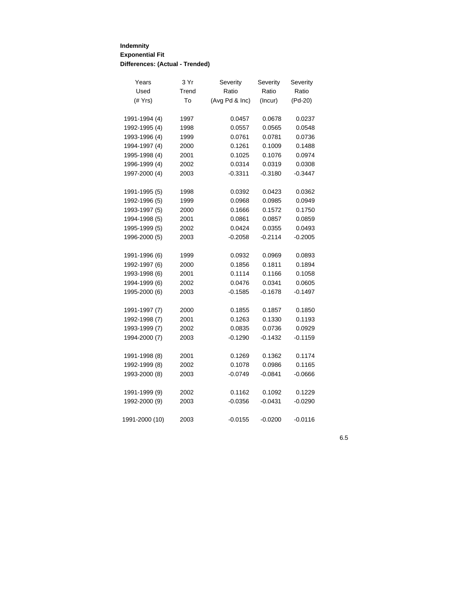## **Indemnity Exponential Fit Differences: (Actual - Trended)**

| Years          | 3 Yr  | Severity       | Severity  | Severity  |
|----------------|-------|----------------|-----------|-----------|
| Used           | Trend | Ratio          | Ratio     | Ratio     |
| $($ Yrs $)$    | To    | (Avg Pd & Inc) | (Incur)   | $(Pd-20)$ |
| 1991-1994 (4)  | 1997  | 0.0457         | 0.0678    | 0.0237    |
| 1992-1995 (4)  | 1998  | 0.0557         | 0.0565    | 0.0548    |
| 1993-1996 (4)  | 1999  | 0.0761         | 0.0781    | 0.0736    |
| 1994-1997 (4)  | 2000  | 0.1261         | 0.1009    | 0.1488    |
| 1995-1998 (4)  | 2001  | 0.1025         | 0.1076    | 0.0974    |
| 1996-1999 (4)  | 2002  | 0.0314         | 0.0319    | 0.0308    |
| 1997-2000 (4)  | 2003  | $-0.3311$      | $-0.3180$ | $-0.3447$ |
| 1991-1995 (5)  | 1998  | 0.0392         | 0.0423    | 0.0362    |
| 1992-1996 (5)  | 1999  | 0.0968         | 0.0985    | 0.0949    |
| 1993-1997 (5)  | 2000  | 0.1666         | 0.1572    | 0.1750    |
| 1994-1998 (5)  | 2001  | 0.0861         | 0.0857    | 0.0859    |
| 1995-1999 (5)  | 2002  | 0.0424         | 0.0355    | 0.0493    |
| 1996-2000 (5)  | 2003  | $-0.2058$      | $-0.2114$ | $-0.2005$ |
| 1991-1996 (6)  | 1999  | 0.0932         | 0.0969    | 0.0893    |
| 1992-1997 (6)  | 2000  | 0.1856         | 0.1811    | 0.1894    |
| 1993-1998 (6)  | 2001  | 0.1114         | 0.1166    | 0.1058    |
| 1994-1999 (6)  | 2002  | 0.0476         | 0.0341    | 0.0605    |
| 1995-2000 (6)  | 2003  | $-0.1585$      | $-0.1678$ | $-0.1497$ |
| 1991-1997 (7)  | 2000  | 0.1855         | 0.1857    | 0.1850    |
| 1992-1998 (7)  | 2001  | 0.1263         | 0.1330    | 0.1193    |
| 1993-1999 (7)  | 2002  | 0.0835         | 0.0736    | 0.0929    |
| 1994-2000 (7)  | 2003  | $-0.1290$      | $-0.1432$ | $-0.1159$ |
| 1991-1998 (8)  | 2001  | 0.1269         | 0.1362    | 0.1174    |
| 1992-1999 (8)  | 2002  | 0.1078         | 0.0986    | 0.1165    |
| 1993-2000 (8)  | 2003  | $-0.0749$      | $-0.0841$ | $-0.0666$ |
| 1991-1999 (9)  | 2002  | 0.1162         | 0.1092    | 0.1229    |
| 1992-2000 (9)  | 2003  | $-0.0356$      | $-0.0431$ | $-0.0290$ |
| 1991-2000 (10) | 2003  | $-0.0155$      | $-0.0200$ | $-0.0116$ |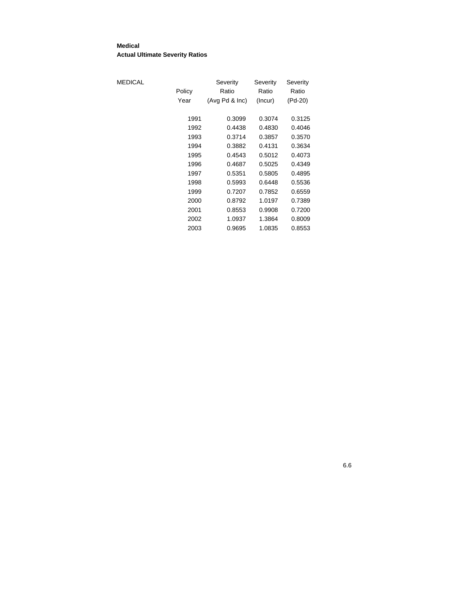#### **Medical Actual Ultimate Severity Ratios**

| MEDICAL |        | Severity       | Severity | Severity |
|---------|--------|----------------|----------|----------|
|         | Policy | Ratio          | Ratio    | Ratio    |
|         | Year   | (Avg Pd & Inc) | (Incur)  | (Pd-20)  |
|         | 1991   | 0.3099         | 0.3074   | 0.3125   |
|         | 1992   | 0.4438         | 0.4830   | 0.4046   |
|         | 1993   | 0.3714         | 0.3857   | 0.3570   |
|         | 1994   | 0.3882         | 0.4131   | 0.3634   |
|         | 1995   | 0.4543         | 0.5012   | 0.4073   |
|         | 1996   | 0.4687         | 0.5025   | 0.4349   |
|         | 1997   | 0.5351         | 0.5805   | 0.4895   |
|         | 1998   | 0.5993         | 0.6448   | 0.5536   |
|         | 1999   | 0.7207         | 0.7852   | 0.6559   |
|         | 2000   | 0.8792         | 1.0197   | 0.7389   |
|         | 2001   | 0.8553         | 0.9908   | 0.7200   |
|         | 2002   | 1.0937         | 1.3864   | 0.8009   |
|         | 2003   | 0.9695         | 1.0835   | 0.8553   |
|         |        |                |          |          |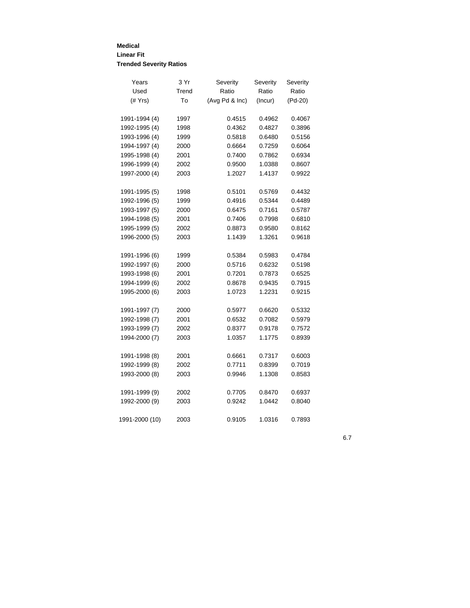#### **Medical Linear Fit Trended Severity Ratios**

| Years           | 3 Yr  | Severity       | Severity | Severity  |
|-----------------|-------|----------------|----------|-----------|
| Used            | Trend | Ratio          | Ratio    | Ratio     |
| $($ $#$ Yrs $)$ | To    | (Avg Pd & Inc) | (Incur)  | $(Pd-20)$ |
| 1991-1994 (4)   | 1997  | 0.4515         | 0.4962   | 0.4067    |
|                 |       |                |          |           |
| 1992-1995 (4)   | 1998  | 0.4362         | 0.4827   | 0.3896    |
| 1993-1996 (4)   | 1999  | 0.5818         | 0.6480   | 0.5156    |
| 1994-1997 (4)   | 2000  | 0.6664         | 0.7259   | 0.6064    |
| 1995-1998 (4)   | 2001  | 0.7400         | 0.7862   | 0.6934    |
| 1996-1999 (4)   | 2002  | 0.9500         | 1.0388   | 0.8607    |
| 1997-2000 (4)   | 2003  | 1.2027         | 1.4137   | 0.9922    |
| 1991-1995 (5)   | 1998  | 0.5101         | 0.5769   | 0.4432    |
| 1992-1996 (5)   | 1999  | 0.4916         | 0.5344   | 0.4489    |
| 1993-1997 (5)   | 2000  | 0.6475         | 0.7161   | 0.5787    |
| 1994-1998 (5)   | 2001  | 0.7406         | 0.7998   | 0.6810    |
| 1995-1999 (5)   | 2002  | 0.8873         | 0.9580   | 0.8162    |
| 1996-2000 (5)   | 2003  | 1.1439         | 1.3261   | 0.9618    |
| 1991-1996 (6)   | 1999  | 0.5384         | 0.5983   | 0.4784    |
| 1992-1997 (6)   | 2000  | 0.5716         | 0.6232   | 0.5198    |
| 1993-1998 (6)   | 2001  | 0.7201         | 0.7873   | 0.6525    |
| 1994-1999 (6)   | 2002  | 0.8678         | 0.9435   | 0.7915    |
| 1995-2000 (6)   | 2003  | 1.0723         | 1.2231   | 0.9215    |
|                 |       |                |          |           |
| 1991-1997 (7)   | 2000  | 0.5977         | 0.6620   | 0.5332    |
| 1992-1998 (7)   | 2001  | 0.6532         | 0.7082   | 0.5979    |
| 1993-1999 (7)   | 2002  | 0.8377         | 0.9178   | 0.7572    |
| 1994-2000 (7)   | 2003  | 1.0357         | 1.1775   | 0.8939    |
| 1991-1998 (8)   | 2001  | 0.6661         | 0.7317   | 0.6003    |
| 1992-1999 (8)   | 2002  | 0.7711         | 0.8399   | 0.7019    |
| 1993-2000 (8)   | 2003  | 0.9946         | 1.1308   | 0.8583    |
| 1991-1999 (9)   | 2002  | 0.7705         | 0.8470   | 0.6937    |
| 1992-2000 (9)   | 2003  | 0.9242         | 1.0442   | 0.8040    |
| 1991-2000 (10)  | 2003  | 0.9105         | 1.0316   | 0.7893    |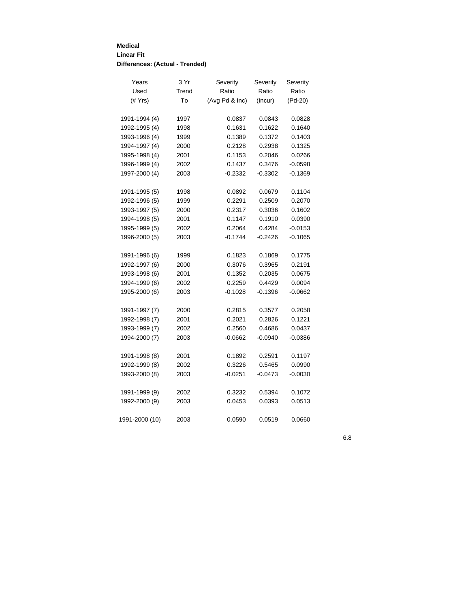## **Medical Linear Fit Differences: (Actual - Trended)**

| Years           | 3 Yr  | Severity       | Severity  | Severity  |
|-----------------|-------|----------------|-----------|-----------|
| Used            | Trend | Ratio          | Ratio     | Ratio     |
| $($ $#$ Yrs $)$ | To    | (Avg Pd & Inc) | (Incur)   | (Pd-20)   |
| 1991-1994 (4)   | 1997  | 0.0837         | 0.0843    | 0.0828    |
| 1992-1995 (4)   | 1998  | 0.1631         | 0.1622    | 0.1640    |
| 1993-1996 (4)   | 1999  | 0.1389         | 0.1372    | 0.1403    |
| 1994-1997 (4)   | 2000  | 0.2128         | 0.2938    | 0.1325    |
| 1995-1998 (4)   | 2001  | 0.1153         | 0.2046    | 0.0266    |
| 1996-1999 (4)   | 2002  | 0.1437         | 0.3476    | $-0.0598$ |
| 1997-2000 (4)   | 2003  | $-0.2332$      | $-0.3302$ | $-0.1369$ |
| 1991-1995 (5)   | 1998  | 0.0892         | 0.0679    | 0.1104    |
| 1992-1996 (5)   | 1999  | 0.2291         | 0.2509    | 0.2070    |
| 1993-1997 (5)   | 2000  | 0.2317         | 0.3036    | 0.1602    |
| 1994-1998 (5)   | 2001  | 0.1147         | 0.1910    | 0.0390    |
| 1995-1999 (5)   | 2002  | 0.2064         | 0.4284    | $-0.0153$ |
| 1996-2000 (5)   | 2003  | $-0.1744$      | $-0.2426$ | $-0.1065$ |
| 1991-1996 (6)   | 1999  | 0.1823         | 0.1869    | 0.1775    |
| 1992-1997 (6)   | 2000  | 0.3076         | 0.3965    | 0.2191    |
| 1993-1998 (6)   | 2001  | 0.1352         | 0.2035    | 0.0675    |
| 1994-1999 (6)   | 2002  | 0.2259         | 0.4429    | 0.0094    |
| 1995-2000 (6)   | 2003  | $-0.1028$      | $-0.1396$ | $-0.0662$ |
| 1991-1997 (7)   | 2000  | 0.2815         | 0.3577    | 0.2058    |
| 1992-1998 (7)   | 2001  | 0.2021         | 0.2826    | 0.1221    |
| 1993-1999 (7)   | 2002  | 0.2560         | 0.4686    | 0.0437    |
| 1994-2000 (7)   | 2003  | $-0.0662$      | $-0.0940$ | $-0.0386$ |
| 1991-1998 (8)   | 2001  | 0.1892         | 0.2591    | 0.1197    |
| 1992-1999 (8)   | 2002  | 0.3226         | 0.5465    | 0.0990    |
| 1993-2000 (8)   | 2003  | $-0.0251$      | $-0.0473$ | $-0.0030$ |
| 1991-1999 (9)   | 2002  | 0.3232         | 0.5394    | 0.1072    |
| 1992-2000 (9)   | 2003  | 0.0453         | 0.0393    | 0.0513    |
| 1991-2000 (10)  | 2003  | 0.0590         | 0.0519    | 0.0660    |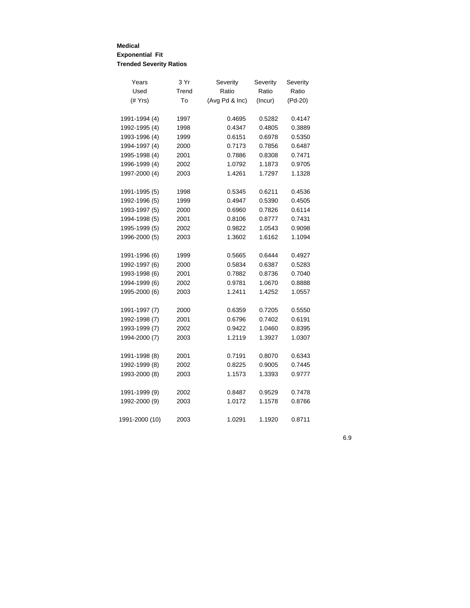## **Medical Exponential Fit Trended Severity Ratios**

| Years          | 3 Yr  | Severity       | Severity | Severity |
|----------------|-------|----------------|----------|----------|
| Used           | Trend | Ratio          | Ratio    | Ratio    |
| $($ $#$ Yrs)   | To    | (Avg Pd & Inc) | (Incur)  | (Pd-20)  |
|                |       |                |          |          |
| 1991-1994 (4)  | 1997  | 0.4695         | 0.5282   | 0.4147   |
| 1992-1995 (4)  | 1998  | 0.4347         | 0.4805   | 0.3889   |
| 1993-1996 (4)  | 1999  | 0.6151         | 0.6978   | 0.5350   |
| 1994-1997 (4)  | 2000  | 0.7173         | 0.7856   | 0.6487   |
| 1995-1998 (4)  | 2001  | 0.7886         | 0.8308   | 0.7471   |
| 1996-1999 (4)  | 2002  | 1.0792         | 1.1873   | 0.9705   |
| 1997-2000 (4)  | 2003  | 1.4261         | 1.7297   | 1.1328   |
| 1991-1995 (5)  | 1998  | 0.5345         | 0.6211   | 0.4536   |
| 1992-1996 (5)  | 1999  | 0.4947         | 0.5390   | 0.4505   |
| 1993-1997 (5)  | 2000  | 0.6960         | 0.7826   | 0.6114   |
| 1994-1998 (5)  | 2001  | 0.8106         | 0.8777   | 0.7431   |
| 1995-1999 (5)  | 2002  | 0.9822         | 1.0543   | 0.9098   |
| 1996-2000 (5)  | 2003  | 1.3602         | 1.6162   | 1.1094   |
| 1991-1996 (6)  | 1999  | 0.5665         | 0.6444   | 0.4927   |
| 1992-1997 (6)  | 2000  | 0.5834         | 0.6387   | 0.5283   |
| 1993-1998 (6)  | 2001  | 0.7882         | 0.8736   | 0.7040   |
| 1994-1999 (6)  | 2002  | 0.9781         | 1.0670   | 0.8888   |
| 1995-2000 (6)  | 2003  | 1.2411         | 1.4252   | 1.0557   |
| 1991-1997 (7)  | 2000  | 0.6359         | 0.7205   | 0.5550   |
| 1992-1998 (7)  | 2001  | 0.6796         | 0.7402   | 0.6191   |
| 1993-1999 (7)  | 2002  | 0.9422         | 1.0460   | 0.8395   |
| 1994-2000 (7)  | 2003  | 1.2119         | 1.3927   | 1.0307   |
|                |       |                |          |          |
| 1991-1998 (8)  | 2001  | 0.7191         | 0.8070   | 0.6343   |
| 1992-1999 (8)  | 2002  | 0.8225         | 0.9005   | 0.7445   |
| 1993-2000 (8)  | 2003  | 1.1573         | 1.3393   | 0.9777   |
| 1991-1999 (9)  | 2002  | 0.8487         | 0.9529   | 0.7478   |
| 1992-2000 (9)  | 2003  | 1.0172         | 1.1578   | 0.8766   |
| 1991-2000 (10) | 2003  | 1.0291         | 1.1920   | 0.8711   |